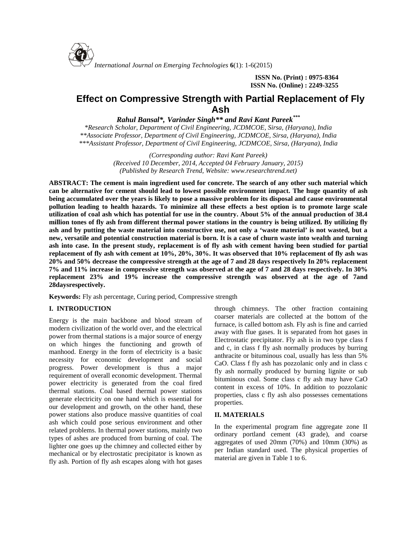

*International Journal on Emerging Technologies* **6**(1): 1-6(2015)

**ISSN No. (Print) : 0975-8364 ISSN No. (Online) : 2249-3255**

# **Effect on Compressive Strength with Partial Replacement of Fly Ash**

*Rahul Bansal\*, Varinder Singh\*\* and Ravi Kant Pareek\*\*\**

*\*Research Scholar, Department of Civil Engineering, JCDMCOE, Sirsa, (Haryana), India \*\*Associate Professor, Department of Civil Engineering, JCDMCOE, Sirsa, (Haryana), India \*\*\*Assistant Professor, Department of Civil Engineering, JCDMCOE, Sirsa, (Haryana), India*

> *(Corresponding author: Ravi Kant Pareek) (Received 10 December, 2014, Accepted 04 February January, 2015) (Published by Research Trend, Website: [www.researchtrend.net\)](www.researchtrend.net)*

**ABSTRACT: The cement is main ingredient used for concrete. The search of any other such material which can be alternative for cement should lead to lowest possible environment impact. The huge quantity of ash being accumulated over the years is likely to pose a massive problem for its disposal and cause environmental pollution leading to health hazards. To minimize all these effects a best option is to promote large scale utilization of coal ash which has potential for use in the country. About 5% of the annual production of 38.4 million tones of fly ash from different thermal power stations in the country is being utilized. By utilizing fly ash and by putting the waste material into constructive use, not only a 'waste material' is not wasted, but a new, versatile and potential construction material is born. It is a case of churn waste into wealth and turning ash into case. In the present study, replacement is of fly ash with cement having been studied for partial replacement of fly ash with cement at 10%, 20%, 30%. It was observed that 10% replacement of fly ash was 20% and 50% decrease the compressive strength at the age of 7 and 28 days respectively In 20% replacement 7% and 11% increase in compressive strength was observed at the age of 7 and 28 days respectively. In 30% replacement 23% and 19% increase the compressive strength was observed at the age of 7and 28daysrespectively.**

**Keywords:** Fly ash percentage, Curing period, Compressive strength

# **I. INTRODUCTION**

Energy is the main backbone and blood stream of modern civilization of the world over, and the electrical power from thermal stations is a major source of energy on which hinges the functioning and growth of manhood. Energy in the form of electricity is a basic necessity for economic development and social progress. Power development is thus a major requirement of overall economic development. Thermal power electricity is generated from the coal fired thermal stations. Coal based thermal power stations generate electricity on one hand which is essential for our development and growth, on the other hand, these power stations also produce massive quantities of coal ash which could pose serious environment and other related problems. In thermal power stations, mainly two types of ashes are produced from burning of coal. The lighter one goes up the chimney and collected either by mechanical or by electrostatic precipitator is known as fly ash. Portion of fly ash escapes along with hot gases

through chimneys. The other fraction containing coarser materials are collected at the bottom of the furnace, is called bottom ash. Fly ash is fine and carried away with flue gases. It is separated from hot gases in Electrostatic precipitator. Fly ash is in two type class f and c, in class f fly ash normally produces by burring anthracite or bituminous coal, usually has less than 5% CaO. Class f fly ash has pozzolanic only and in class c fly ash normally produced by burning lignite or sub bituminous coal. Some class c fly ash may have CaO content in excess of 10%. In addition to pozzolanic properties, class c fly ash also possesses cementations properties.

# **II. MATERIALS**

In the experimental program fine aggregate zone II ordinary portland cement (43 grade), and coarse aggregates of used 20mm (70%) and 10mm (30%) as per Indian standard used. The physical properties of material are given in Table 1 to 6.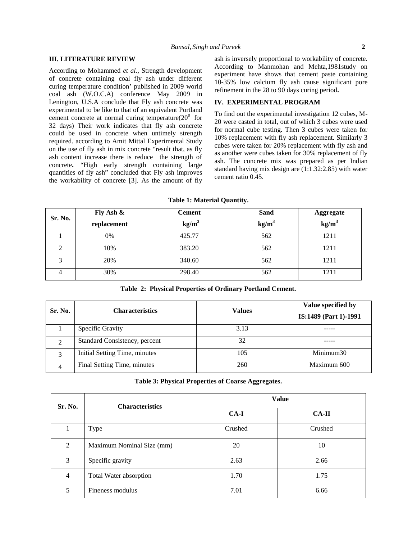### **III. LITERATURE REVIEW**

According to Mohammed *et al.,* Strength development of concrete containing coal fly ash under different curing temperature condition' published in 2009 world coal ash (W.O.C.A) conference May 2009 in Lenington, U.S.A conclude that Fly ash concrete was experimental to be like to that of an equivalent Portland cement concrete at normal curing temperature $(20^0)$  for 32 days) Their work indicates that fly ash concrete could be used in concrete when untimely strength required. according to Amit Mittal Experimental Study on the use of fly ash in mix concrete "result that, as fly ash content increase there is reduce the strength of concrete**.** "High early strength containing large quantities of fly ash" concluded that Fly ash improves the workability of concrete [3]. As the amount of fly ash is inversely proportional to workability of concrete. According to Manmohan and Mehta,1981study on experiment have shows that cement paste containing 10-35% low calcium fly ash cause significant pore refinement in the 28 to 90 days curing period**.**

# **IV. EXPERIMENTAL PROGRAM**

To find out the experimental investigation 12 cubes, M- 20 were casted in total, out of which 3 cubes were used for normal cube testing. Then 3 cubes were taken for 10% replacement with fly ash replacement. Similarly 3 cubes were taken for 20% replacement with fly ash and as another were cubes taken for 30% replacement of fly ash. The concrete mix was prepared as per Indian standard having mix design are (1:1.32:2.85) with water cement ratio 0.45.

|  |  | <b>Table 1: Material Quantity.</b> |
|--|--|------------------------------------|
|  |  |                                    |

| Sr. No. | Fly Ash $\&$ | <b>Cement</b>     | Sand              | <b>Aggregate</b>  |
|---------|--------------|-------------------|-------------------|-------------------|
|         | replacement  | kg/m <sup>3</sup> | kg/m <sup>3</sup> | kg/m <sup>3</sup> |
|         | 0%           | 425.77            | 562               | 1211              |
|         | 10%          | 383.20            | 562               | 1211              |
|         | 20%          | 340.60            | 562               | 1211              |
|         | 30%          | 298.40            | 562               | 1211              |

**Table 2: Physical Properties of Ordinary Portland Cement.**

| Sr. No.        | <b>Characteristics</b>        | <b>Values</b> | Value specified by<br>IS:1489 (Part 1)-1991 |
|----------------|-------------------------------|---------------|---------------------------------------------|
|                | Specific Gravity              | 3.13          |                                             |
| $\mathfrak{D}$ | Standard Consistency, percent | 32            |                                             |
| 3              | Initial Setting Time, minutes | 105           | Minimum30                                   |
|                | Final Setting Time, minutes   | 260           | Maximum 600                                 |

**Table 3: Physical Properties of Coarse Aggregates.**

| Sr. No.        | <b>Characteristics</b>    | <b>Value</b> |              |  |
|----------------|---------------------------|--------------|--------------|--|
|                |                           | $CA-I$       | <b>CA-II</b> |  |
|                | Type                      | Crushed      | Crushed      |  |
| 2              | Maximum Nominal Size (mm) | 20           | 10           |  |
| 3              | Specific gravity          | 2.63         | 2.66         |  |
| $\overline{4}$ | Total Water absorption    | 1.70         | 1.75         |  |
| 5              | Fineness modulus          | 7.01         | 6.66         |  |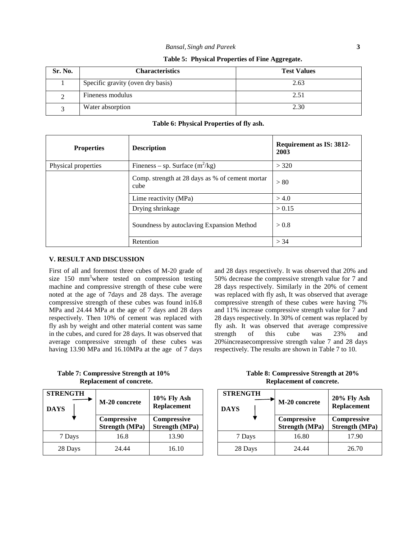|  |  |  | Table 5: Physical Properties of Fine Aggregate. |
|--|--|--|-------------------------------------------------|
|--|--|--|-------------------------------------------------|

| Sr. No. | <b>Characteristics</b>            | <b>Test Values</b> |
|---------|-----------------------------------|--------------------|
|         | Specific gravity (oven dry basis) | 2.63               |
|         | Fineness modulus                  | 2.51               |
|         | Water absorption                  | 2.30               |

| <b>Properties</b>   | <b>Description</b>                                      | Requirement as IS: 3812-<br>2003 |
|---------------------|---------------------------------------------------------|----------------------------------|
| Physical properties | Fineness – sp. Surface $(m^2/kg)$                       | > 320                            |
|                     | Comp. strength at 28 days as % of cement mortar<br>cube | > 80                             |
|                     | Lime reactivity (MPa)                                   | > 4.0                            |
|                     | Drying shrinkage                                        | > 0.15                           |
|                     | Soundness by autoclaving Expansion Method               | > 0.8                            |
|                     | Retention                                               | > 34                             |

**Table 6: Physical Properties of fly ash.**

## **V. RESULT AND DISCUSSION**

First of all and foremost three cubes of M-20 grade of size  $150 \text{ mm}^3$  where tested on compression testing machine and compressive strength of these cube were noted at the age of 7days and 28 days. The average compressive strength of these cubes was found in16.8 MPa and 24.44 MPa at the age of 7 days and 28 days respectively. Then 10% of cement was replaced with fly ash by weight and other material content was same in the cubes, and cured for 28 days. It was observed that average compressive strength of these cubes was having 13.90 MPa and 16.10MPa at the age of 7 days and 28 days respectively. It was observed that 20% and 50% decrease the compressive strength value for 7 and 28 days respectively. Similarly in the 20% of cement was replaced with fly ash, It was observed that average compressive strength of these cubes were having 7% and 11% increase compressive strength value for 7 and 28 days respectively. In 30% of cement was replaced by fly ash. It was observed that average compressive strength of this cube was 23% and 20%increasecompressive strength value 7 and 28 days respectively. The results are shown in Table 7 to 10.

**Replacement of concrete. Replacement of concrete.**

| <b>STRENGTH</b><br><b>DAYS</b> | M-20 concrete                               | $10\%$ Fly Ash<br><b>Replacement</b> | <b>STRENGTH</b><br><b>DAYS</b> |         | M-20 concrete                        | $20\%$ Fly Ash<br><b>Replacement</b> |
|--------------------------------|---------------------------------------------|--------------------------------------|--------------------------------|---------|--------------------------------------|--------------------------------------|
|                                | <b>Compressive</b><br><b>Strength (MPa)</b> | Compressive<br><b>Strength (MPa)</b> |                                |         | Compressive<br><b>Strength (MPa)</b> | Compressive<br><b>Strength (MPa)</b> |
| 7 Days                         | 16.8                                        | 13.90                                |                                | 7 Days  | 16.80                                | 17.90                                |
| 28 Days                        | 24.44                                       | 16.10                                |                                | 28 Days | 24.44                                | 26.70                                |

**Table 7: Compressive Strength at 10% Table 8: Compressive Strength at 20%**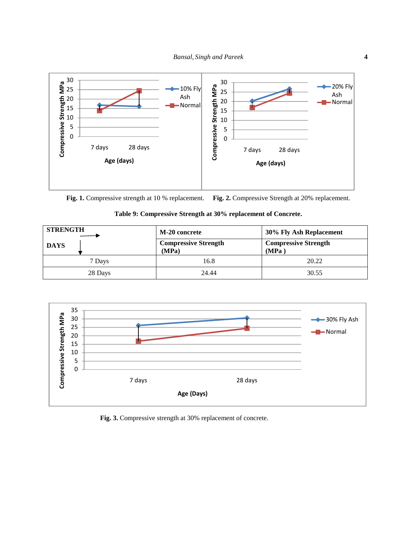

**Fig. 1.** Compressive strength at 10 % replacement. **Fig. 2.** Compressive Strength at 20% replacement.



| <b>STRENGTH</b> | M-20 concrete                        | 30% Fly Ash Replacement              |  |
|-----------------|--------------------------------------|--------------------------------------|--|
| <b>DAYS</b>     | <b>Compressive Strength</b><br>(MPa) | <b>Compressive Strength</b><br>(MPa) |  |
| 7 Days          | 16.8                                 | 20.22                                |  |
| 28 Days         | 24.44                                | 30.55                                |  |



**Fig. 3.** Compressive strength at 30% replacement of concrete.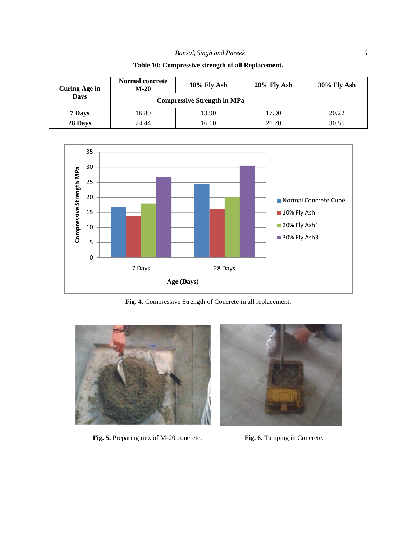| Curing Age in | <b>Normal concrete</b><br>$M-20$ | $10\%$ Fly Ash                     |       | $30\%$ Fly Ash |  |
|---------------|----------------------------------|------------------------------------|-------|----------------|--|
| <b>Days</b>   |                                  | <b>Compressive Strength in MPa</b> |       |                |  |
| 7 Days        | 20.22<br>17.90<br>16.80<br>13.90 |                                    |       |                |  |
| 28 Days       | 24.44                            | 16.10                              | 26.70 | 30.55          |  |

**Table 10: Compressive strength of all Replacement.**



**Fig. 4.** Compressive Strength of Concrete in all replacement.



**Fig. 5.** Preparing mix of M-20 concrete. **Fig. 6.** Tamping in Concrete.